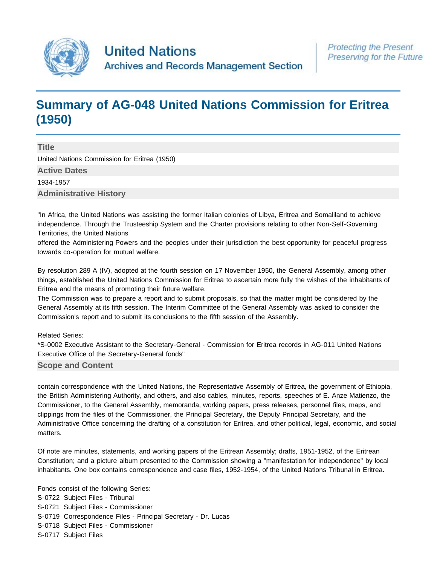

# **[Summary of AG-048 United Nations Commission for Eritrea](http://search.archives.un.org/united-nations-commission-for-eritrea-1950) [\(1950\)](http://search.archives.un.org/united-nations-commission-for-eritrea-1950)**

**Title** United Nations Commission for Eritrea (1950) **Active Dates** 1934-1957 **Administrative History**

"In Africa, the United Nations was assisting the former Italian colonies of Libya, Eritrea and Somaliland to achieve independence. Through the Trusteeship System and the Charter provisions relating to other Non-Self-Governing Territories, the United Nations

offered the Administering Powers and the peoples under their jurisdiction the best opportunity for peaceful progress towards co-operation for mutual welfare.

By resolution 289 A (IV), adopted at the fourth session on 17 November 1950, the General Assembly, among other things, established the United Nations Commission for Eritrea to ascertain more fully the wishes of the inhabitants of Eritrea and the means of promoting their future welfare.

The Commission was to prepare a report and to submit proposals, so that the matter might be considered by the General Assembly at its fifth session. The Interim Committee of the General Assembly was asked to consider the Commission's report and to submit its conclusions to the fifth session of the Assembly.

Related Series:

\*S-0002 Executive Assistant to the Secretary-General - Commission for Eritrea records in AG-011 United Nations Executive Office of the Secretary-General fonds"

# **Scope and Content**

contain correspondence with the United Nations, the Representative Assembly of Eritrea, the government of Ethiopia, the British Administering Authority, and others, and also cables, minutes, reports, speeches of E. Anze Matienzo, the Commissioner, to the General Assembly, memoranda, working papers, press releases, personnel files, maps, and clippings from the files of the Commissioner, the Principal Secretary, the Deputy Principal Secretary, and the Administrative Office concerning the drafting of a constitution for Eritrea, and other political, legal, economic, and social matters.

Of note are minutes, statements, and working papers of the Eritrean Assembly; drafts, 1951-1952, of the Eritrean Constitution; and a picture album presented to the Commission showing a "manifestation for independence" by local inhabitants. One box contains correspondence and case files, 1952-1954, of the United Nations Tribunal in Eritrea.

Fonds consist of the following Series: S-0722 Subject Files - Tribunal S-0721 Subject Files - Commissioner S-0719 Correspondence Files - Principal Secretary - Dr. Lucas S-0718 Subject Files - Commissioner S-0717 Subject Files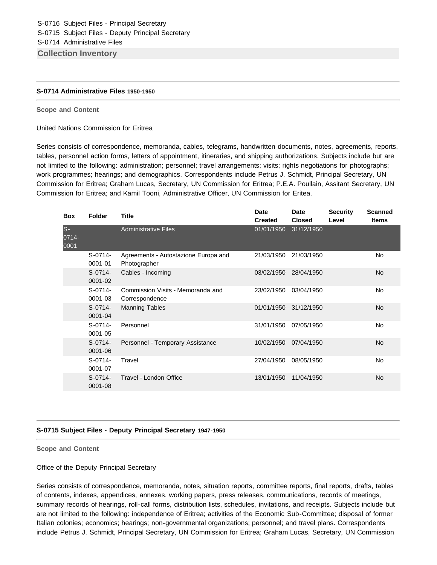#### **S-0714 Administrative Files 1950-1950**

#### **Scope and Content**

United Nations Commission for Eritrea

Series consists of correspondence, memoranda, cables, telegrams, handwritten documents, notes, agreements, reports, tables, personnel action forms, letters of appointment, itineraries, and shipping authorizations. Subjects include but are not limited to the following: administration; personnel; travel arrangements; visits; rights negotiations for photographs; work programmes; hearings; and demographics. Correspondents include Petrus J. Schmidt, Principal Secretary, UN Commission for Eritrea; Graham Lucas, Secretary, UN Commission for Eritrea; P.E.A. Poullain, Assitant Secretary, UN Commission for Eritrea; and Kamil Tooni, Administrative Officer, UN Commission for Eritea.

| <b>Box</b>            | <b>Folder</b>            | <b>Title</b>                                         | <b>Date</b><br><b>Created</b> | <b>Date</b><br><b>Closed</b> | <b>Security</b><br>Level | <b>Scanned</b><br><b>Items</b> |
|-----------------------|--------------------------|------------------------------------------------------|-------------------------------|------------------------------|--------------------------|--------------------------------|
| $S-$<br>0714-<br>0001 |                          | <b>Administrative Files</b>                          | 01/01/1950                    | 31/12/1950                   |                          |                                |
|                       | $S-0714-$<br>0001-01     | Agreements - Autostazione Europa and<br>Photographer | 21/03/1950                    | 21/03/1950                   |                          | No                             |
|                       | $S-0714-$<br>0001-02     | Cables - Incoming                                    | 03/02/1950                    | 28/04/1950                   |                          | No.                            |
|                       | $S-0714-$<br>0001-03     | Commission Visits - Memoranda and<br>Correspondence  | 23/02/1950                    | 03/04/1950                   |                          | No                             |
|                       | $S-0714-$<br>$0001 - 04$ | <b>Manning Tables</b>                                | 01/01/1950                    | 31/12/1950                   |                          | <b>No</b>                      |
|                       | $S-0714-$<br>$0001 - 05$ | Personnel                                            | 31/01/1950                    | 07/05/1950                   |                          | No                             |
|                       | $S-0714-$<br>0001-06     | Personnel - Temporary Assistance                     | 10/02/1950                    | 07/04/1950                   |                          | <b>No</b>                      |
|                       | $S-0714-$<br>0001-07     | Travel                                               | 27/04/1950                    | 08/05/1950                   |                          | No                             |
|                       | $S-0714-$<br>0001-08     | Travel - London Office                               | 13/01/1950                    | 11/04/1950                   |                          | No                             |

### **S-0715 Subject Files - Deputy Principal Secretary 1947-1950**

#### **Scope and Content**

Office of the Deputy Principal Secretary

Series consists of correspondence, memoranda, notes, situation reports, committee reports, final reports, drafts, tables of contents, indexes, appendices, annexes, working papers, press releases, communications, records of meetings, summary records of hearings, roll-call forms, distribution lists, schedules, invitations, and receipts. Subjects include but are not limited to the following: independence of Eritrea; activities of the Economic Sub-Committee; disposal of former Italian colonies; economics; hearings; non-governmental organizations; personnel; and travel plans. Correspondents include Petrus J. Schmidt, Principal Secretary, UN Commission for Eritrea; Graham Lucas, Secretary, UN Commission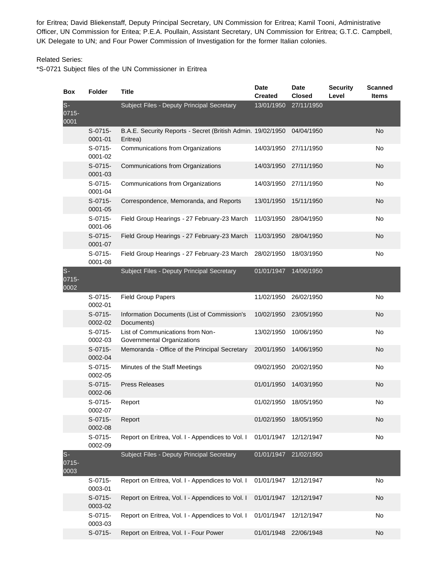for Eritrea; David Bliekenstaff, Deputy Principal Secretary, UN Commission for Eritrea; Kamil Tooni, Administrative Officer, UN Commission for Eritea; P.E.A. Poullain, Assistant Secretary, UN Commission for Eritrea; G.T.C. Campbell, UK Delegate to UN; and Four Power Commission of Investigation for the former Italian colonies.

# Related Series:

\*S-0721 Subject files of the UN Commissioner in Eritrea

| Box                    | <b>Folder</b>        | <b>Title</b>                                                            | <b>Date</b><br><b>Created</b> | <b>Date</b><br><b>Closed</b> | <b>Security</b><br>Level | <b>Scanned</b><br><b>Items</b> |
|------------------------|----------------------|-------------------------------------------------------------------------|-------------------------------|------------------------------|--------------------------|--------------------------------|
| $S -$<br>0715-<br>0001 |                      | Subject Files - Deputy Principal Secretary                              | 13/01/1950                    | 27/11/1950                   |                          |                                |
|                        | $S-0715-$<br>0001-01 | B.A.E. Security Reports - Secret (British Admin. 19/02/1950<br>Eritrea) |                               | 04/04/1950                   |                          | <b>No</b>                      |
|                        | $S-0715-$<br>0001-02 | Communications from Organizations                                       | 14/03/1950                    | 27/11/1950                   |                          | No                             |
|                        | $S-0715-$<br>0001-03 | Communications from Organizations                                       | 14/03/1950                    | 27/11/1950                   |                          | <b>No</b>                      |
|                        | $S-0715-$<br>0001-04 | Communications from Organizations                                       | 14/03/1950                    | 27/11/1950                   |                          | No                             |
|                        | $S-0715-$<br>0001-05 | Correspondence, Memoranda, and Reports                                  | 13/01/1950                    | 15/11/1950                   |                          | <b>No</b>                      |
|                        | $S-0715-$<br>0001-06 | Field Group Hearings - 27 February-23 March                             | 11/03/1950                    | 28/04/1950                   |                          | No                             |
|                        | $S-0715-$<br>0001-07 | Field Group Hearings - 27 February-23 March                             | 11/03/1950                    | 28/04/1950                   |                          | <b>No</b>                      |
|                        | S-0715-<br>0001-08   | Field Group Hearings - 27 February-23 March                             | 28/02/1950                    | 18/03/1950                   |                          | No                             |
| $S -$<br>0715-<br>0002 |                      | Subject Files - Deputy Principal Secretary                              | 01/01/1947                    | 14/06/1950                   |                          |                                |
|                        | $S-0715-$<br>0002-01 | <b>Field Group Papers</b>                                               | 11/02/1950                    | 26/02/1950                   |                          | No                             |
|                        | S-0715-<br>0002-02   | Information Documents (List of Commission's<br>Documents)               | 10/02/1950                    | 23/05/1950                   |                          | No                             |
|                        | S-0715-<br>0002-03   | List of Communications from Non-<br>Governmental Organizations          | 13/02/1950                    | 10/06/1950                   |                          | No                             |
|                        | $S-0715-$<br>0002-04 | Memoranda - Office of the Principal Secretary                           | 20/01/1950                    | 14/06/1950                   |                          | No                             |
|                        | $S-0715-$<br>0002-05 | Minutes of the Staff Meetings                                           | 09/02/1950                    | 20/02/1950                   |                          | No                             |
|                        | $S-0715-$<br>0002-06 | <b>Press Releases</b>                                                   | 01/01/1950                    | 14/03/1950                   |                          | No                             |
|                        | S-0715-<br>0002-07   | Report                                                                  | 01/02/1950                    | 18/05/1950                   |                          | No                             |
|                        | $S-0715-$<br>0002-08 | Report                                                                  | 01/02/1950                    | 18/05/1950                   |                          | No                             |
|                        | S-0715-<br>0002-09   | Report on Eritrea, Vol. I - Appendices to Vol. I                        | 01/01/1947                    | 12/12/1947                   |                          | No                             |
| $s-$<br>0715-<br>0003  |                      | Subject Files - Deputy Principal Secretary                              | 01/01/1947                    | 21/02/1950                   |                          |                                |
|                        | $S-0715-$<br>0003-01 | Report on Eritrea, Vol. I - Appendices to Vol. I                        | 01/01/1947                    | 12/12/1947                   |                          | No                             |
|                        | $S-0715-$<br>0003-02 | Report on Eritrea, Vol. I - Appendices to Vol. I                        | 01/01/1947                    | 12/12/1947                   |                          | <b>No</b>                      |
|                        | $S-0715-$<br>0003-03 | Report on Eritrea, Vol. I - Appendices to Vol. I                        | 01/01/1947                    | 12/12/1947                   |                          | No                             |
|                        | S-0715-              | Report on Eritrea, Vol. I - Four Power                                  | 01/01/1948                    | 22/06/1948                   |                          | No                             |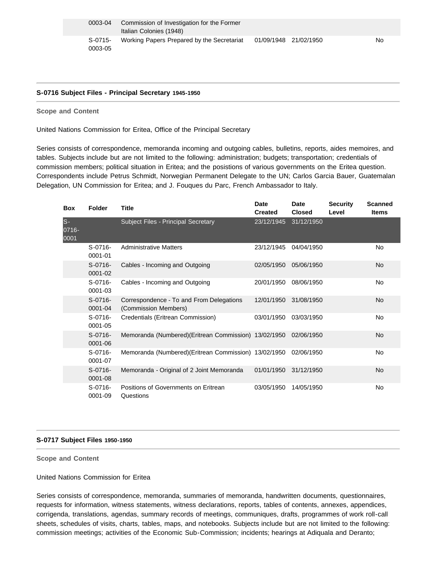#### **S-0716 Subject Files - Principal Secretary 1945-1950**

**Scope and Content** 

United Nations Commission for Eritea, Office of the Principal Secretary

Series consists of correspondence, memoranda incoming and outgoing cables, bulletins, reports, aides memoires, and tables. Subjects include but are not limited to the following: administration; budgets; transportation; credentials of commission members; political situation in Eritea; and the posistions of various governments on the Eritea question. Correspondents include Petrus Schmidt, Norwegian Permanent Delegate to the UN; Carlos Garcia Bauer, Guatemalan Delegation, UN Commission for Eritea; and J. Fouques du Parc, French Ambassador to Italy.

| <b>Box</b>            | <b>Folder</b>               | Title                                                            | <b>Date</b><br><b>Created</b> | <b>Date</b><br><b>Closed</b> | <b>Security</b><br>Level | <b>Scanned</b><br><b>Items</b> |
|-----------------------|-----------------------------|------------------------------------------------------------------|-------------------------------|------------------------------|--------------------------|--------------------------------|
| $S-$<br>0716-<br>0001 |                             | Subject Files - Principal Secretary                              | 23/12/1945                    | 31/12/1950                   |                          |                                |
|                       | $S-0716-$<br>0001-01        | <b>Administrative Matters</b>                                    | 23/12/1945                    | 04/04/1950                   |                          | No                             |
|                       | $S - 0716 -$<br>$0001 - 02$ | Cables - Incoming and Outgoing                                   | 02/05/1950                    | 05/06/1950                   |                          | <b>No</b>                      |
|                       | $S-0716-$<br>0001-03        | Cables - Incoming and Outgoing                                   | 20/01/1950                    | 08/06/1950                   |                          | No                             |
|                       | $S-0716-$<br>0001-04        | Correspondence - To and From Delegations<br>(Commission Members) | 12/01/1950                    | 31/08/1950                   |                          | No                             |
|                       | $S-0716-$<br>$0001 - 05$    | Credentials (Eritrean Commission)                                | 03/01/1950                    | 03/03/1950                   |                          | No                             |
|                       | $S-0716-$<br>0001-06        | Memoranda (Numbered) (Eritrean Commission) 13/02/1950            |                               | 02/06/1950                   |                          | <b>No</b>                      |
|                       | $S - 0716 -$<br>0001-07     | Memoranda (Numbered) (Eritrean Commission) 13/02/1950            |                               | 02/06/1950                   |                          | No                             |
|                       | $S-0716-$<br>0001-08        | Memoranda - Original of 2 Joint Memoranda                        | 01/01/1950                    | 31/12/1950                   |                          | No                             |
|                       | $S-0716-$<br>0001-09        | Positions of Governments on Eritrean<br>Questions                | 03/05/1950                    | 14/05/1950                   |                          | No                             |

#### **S-0717 Subject Files 1950-1950**

**Scope and Content** 

United Nations Commission for Eritea

Series consists of correspondence, memoranda, summaries of memoranda, handwritten documents, questionnaires, requests for information, witness statements, witness declarations, reports, tables of contents, annexes, appendices, corrigenda, translations, agendas, summary records of meetings, communiques, drafts, programmes of work roll-call sheets, schedules of visits, charts, tables, maps, and notebooks. Subjects include but are not limited to the following: commission meetings; activities of the Economic Sub-Commission; incidents; hearings at Adiquala and Deranto;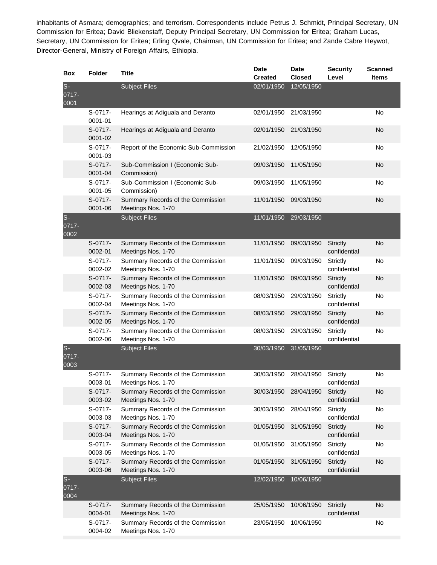inhabitants of Asmara; demographics; and terrorism. Correspondents include Petrus J. Schmidt, Principal Secretary, UN Commission for Eritea; David Bliekenstaff, Deputy Principal Secretary, UN Commission for Eritea; Graham Lucas, Secretary, UN Commission for Eritea; Erling Qvale, Chairman, UN Commission for Eritea; and Zande Cabre Heywot, Director-General, Ministry of Foreign Affairs, Ethiopia.

| <b>Box</b>             | <b>Folder</b>        | <b>Title</b>                                            | <b>Date</b><br><b>Created</b> | <b>Date</b><br><b>Closed</b> | <b>Security</b><br>Level        | <b>Scanned</b><br><b>Items</b> |
|------------------------|----------------------|---------------------------------------------------------|-------------------------------|------------------------------|---------------------------------|--------------------------------|
| $S-$<br>0717-<br>0001  |                      | <b>Subject Files</b>                                    | 02/01/1950                    | 12/05/1950                   |                                 |                                |
|                        | S-0717-<br>0001-01   | Hearings at Adiguala and Deranto                        | 02/01/1950                    | 21/03/1950                   |                                 | <b>No</b>                      |
|                        | S-0717-<br>0001-02   | Hearings at Adiguala and Deranto                        | 02/01/1950                    | 21/03/1950                   |                                 | <b>No</b>                      |
|                        | S-0717-<br>0001-03   | Report of the Economic Sub-Commission                   | 21/02/1950                    | 12/05/1950                   |                                 | No                             |
|                        | $S-0717-$<br>0001-04 | Sub-Commission I (Economic Sub-<br>Commission)          | 09/03/1950                    | 11/05/1950                   |                                 | No                             |
|                        | S-0717-<br>0001-05   | Sub-Commission I (Economic Sub-<br>Commission)          | 09/03/1950                    | 11/05/1950                   |                                 | No                             |
|                        | S-0717-<br>0001-06   | Summary Records of the Commission<br>Meetings Nos. 1-70 | 11/01/1950                    | 09/03/1950                   |                                 | <b>No</b>                      |
| $S-$<br>0717-<br>0002  |                      | <b>Subject Files</b>                                    | 11/01/1950                    | 29/03/1950                   |                                 |                                |
|                        | $S-0717-$<br>0002-01 | Summary Records of the Commission<br>Meetings Nos. 1-70 | 11/01/1950                    | 09/03/1950                   | <b>Strictly</b><br>confidential | <b>No</b>                      |
|                        | S-0717-<br>0002-02   | Summary Records of the Commission<br>Meetings Nos. 1-70 | 11/01/1950                    | 09/03/1950                   | Strictly<br>confidential        | No                             |
|                        | $S-0717-$<br>0002-03 | Summary Records of the Commission<br>Meetings Nos. 1-70 | 11/01/1950                    | 09/03/1950                   | Strictly<br>confidential        | <b>No</b>                      |
|                        | S-0717-<br>0002-04   | Summary Records of the Commission<br>Meetings Nos. 1-70 | 08/03/1950                    | 29/03/1950                   | Strictly<br>confidential        | <b>No</b>                      |
|                        | S-0717-<br>0002-05   | Summary Records of the Commission<br>Meetings Nos. 1-70 | 08/03/1950                    | 29/03/1950                   | <b>Strictly</b><br>confidential | <b>No</b>                      |
|                        | S-0717-<br>0002-06   | Summary Records of the Commission<br>Meetings Nos. 1-70 | 08/03/1950                    | 29/03/1950                   | Strictly<br>confidential        | No                             |
| $S -$<br>0717-<br>0003 |                      | <b>Subject Files</b>                                    | 30/03/1950                    | 31/05/1950                   |                                 |                                |
|                        | S-0717-<br>0003-01   | Summary Records of the Commission<br>Meetings Nos. 1-70 | 30/03/1950                    | 28/04/1950                   | Strictly<br>confidential        | No                             |
|                        | S-0717-<br>0003-02   | Summary Records of the Commission<br>Meetings Nos. 1-70 | 30/03/1950                    | 28/04/1950                   | <b>Strictly</b><br>confidential | <b>No</b>                      |
|                        | S-0717-<br>0003-03   | Summary Records of the Commission<br>Meetings Nos. 1-70 | 30/03/1950                    | 28/04/1950                   | <b>Strictly</b><br>confidential | No                             |
|                        | S-0717-<br>0003-04   | Summary Records of the Commission<br>Meetings Nos. 1-70 | 01/05/1950                    | 31/05/1950                   | <b>Strictly</b><br>confidential | No                             |
|                        | S-0717-<br>0003-05   | Summary Records of the Commission<br>Meetings Nos. 1-70 | 01/05/1950                    | 31/05/1950                   | Strictly<br>confidential        | No                             |
|                        | $S-0717-$<br>0003-06 | Summary Records of the Commission<br>Meetings Nos. 1-70 | 01/05/1950                    | 31/05/1950                   | <b>Strictly</b><br>confidential | <b>No</b>                      |
| $S-$<br>0717-<br>0004  |                      | <b>Subject Files</b>                                    | 12/02/1950                    | 10/06/1950                   |                                 |                                |
|                        | S-0717-<br>0004-01   | Summary Records of the Commission<br>Meetings Nos. 1-70 | 25/05/1950                    | 10/06/1950                   | <b>Strictly</b><br>confidential | <b>No</b>                      |
|                        | S-0717-<br>0004-02   | Summary Records of the Commission<br>Meetings Nos. 1-70 | 23/05/1950                    | 10/06/1950                   |                                 | No                             |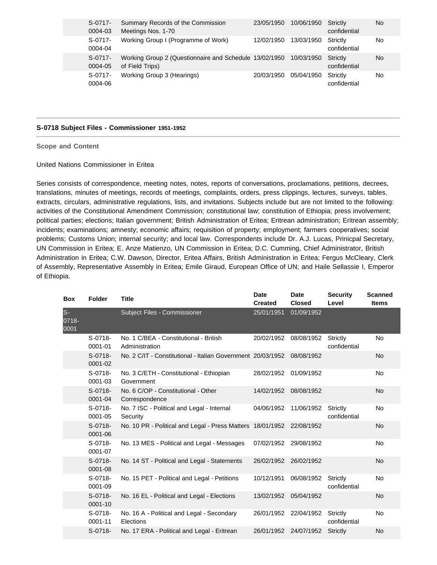| $S-0717-$<br>0004-03 | Summary Records of the Commission<br>Meetings Nos. 1-70                              | 23/05/1950 | 10/06/1950 | Strictly<br>confidential | No |
|----------------------|--------------------------------------------------------------------------------------|------------|------------|--------------------------|----|
| $S-0717-$<br>0004-04 | Working Group I (Programme of Work)                                                  | 12/02/1950 | 13/03/1950 | Strictly<br>confidential | No |
| $S-0717-$<br>0004-05 | Working Group 2 (Questionnaire and Schedule 13/02/1950 10/03/1950<br>of Field Trips) |            |            | Strictly<br>confidential | No |
| S-0717-<br>0004-06   | Working Group 3 (Hearings)                                                           | 20/03/1950 | 05/04/1950 | Strictly<br>confidential | No |

#### **S-0718 Subject Files - Commissioner 1951-1952**

**Scope and Content** 

United Nations Commissioner in Eritea

Series consists of correspondence, meeting notes, notes, reports of conversations, proclamations, petitions, decrees, translations, minutes of meetings, records of meetings, complaints, orders, press clippings, lectures, surveys, tables, extracts, circulars, administrative regulations, lists, and invitations. Subjects include but are not limited to the following: activities of the Constitutional Amendment Commission; constitutional law; constitution of Ethiopia; press involvement; political parties; elections; Italian government; British Administration of Eritea; Eritrean administration; Eritrean assembly; incidents; examinations; amnesty; economic affairs; requisition of property; employment; farmers cooperatives; social problems; Customs Union; internal security; and local law. Correspondents include Dr. A.J. Lucas, Prinicpal Secretary, UN Commission in Eritea; E. Anze Matienzo, UN Commission in Eritea; D.C. Cumming, Chief Administrator, British Administration in Eritea; C.W. Dawson, Director, Eritea Affairs, British Administration in Eritea; Fergus McCleary, Clerk of Assembly, Representative Assembly in Eritea; Emile Giraud, European Office of UN; and Haile Sellassie I, Emperor of Ethiopia.

| <b>Box</b>            | <b>Folder</b>            | <b>Title</b>                                                | <b>Date</b><br><b>Created</b> | <b>Date</b><br><b>Closed</b> | <b>Security</b><br>Level | <b>Scanned</b><br><b>Items</b> |
|-----------------------|--------------------------|-------------------------------------------------------------|-------------------------------|------------------------------|--------------------------|--------------------------------|
| $S-$<br>0718-<br>0001 |                          | Subject Files - Commissioner                                | 25/01/1951                    | 01/09/1952                   |                          |                                |
|                       | $S-0718-$<br>0001-01     | No. 1 C/BEA - Constitutional - British<br>Administration    | 20/02/1952                    | 08/08/1952                   | Strictly<br>confidential | No                             |
|                       | $S-0718-$<br>$0001 - 02$ | No. 2 C/IT - Constitutional - Italian Government 20/03/1952 |                               | 08/08/1952                   |                          | No                             |
|                       | $S-0718-$<br>0001-03     | No. 3 C/ETH - Constitutional - Ethiopian<br>Government      | 28/02/1952                    | 01/09/1952                   |                          | <b>No</b>                      |
|                       | $S-0718-$<br>0001-04     | No. 6 C/OP - Constitutional - Other<br>Correspondence       | 14/02/1952                    | 08/08/1952                   |                          | <b>No</b>                      |
|                       | $S-0718-$<br>$0001 - 05$ | No. 7 ISC - Political and Legal - Internal<br>Security      | 04/06/1952                    | 11/06/1952                   | Strictly<br>confidential | <b>No</b>                      |
|                       | $S-0718-$<br>0001-06     | No. 10 PR - Political and Legal - Press Matters 18/01/1952  |                               | 22/08/1952                   |                          | <b>No</b>                      |
|                       | $S-0718-$<br>0001-07     | No. 13 MES - Political and Legal - Messages                 | 07/02/1952                    | 29/08/1952                   |                          | <b>No</b>                      |
|                       | $S-0718-$<br>$0001 - 08$ | No. 14 ST - Political and Legal - Statements                | 26/02/1952                    | 26/02/1952                   |                          | <b>No</b>                      |
|                       | $S-0718-$<br>0001-09     | No. 15 PET - Political and Legal - Petitions                | 10/12/1951                    | 06/08/1952                   | Strictly<br>confidential | <b>No</b>                      |
|                       | $S-0718-$<br>0001-10     | No. 16 EL - Political and Legal - Elections                 | 13/02/1952                    | 05/04/1952                   |                          | <b>No</b>                      |
|                       | $S-0718-$<br>0001-11     | No. 16 A - Political and Legal - Secondary<br>Elections     | 26/01/1952                    | 22/04/1952                   | Strictly<br>confidential | No                             |
|                       | $S-0718-$                | No. 17 ERA - Political and Legal - Eritrean                 | 26/01/1952                    | 24/07/1952                   | <b>Strictly</b>          | No                             |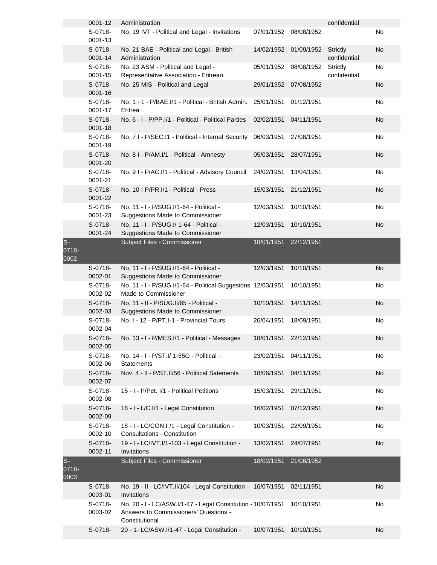|                       | 0001-12              | Administration                                                                                                          |            |            | confidential                    |           |
|-----------------------|----------------------|-------------------------------------------------------------------------------------------------------------------------|------------|------------|---------------------------------|-----------|
|                       | S-0718-<br>0001-13   | No. 19 IVT - Political and Legal - Invitations                                                                          | 07/01/1952 | 08/08/1952 |                                 | No        |
|                       | $S-0718-$<br>0001-14 | No. 21 BAE - Political and Legal - British<br>Administration                                                            | 14/02/1952 | 01/09/1952 | <b>Strictly</b><br>confidential | <b>No</b> |
|                       | S-0718-<br>0001-15   | No. 23 ASM - Political and Legal -<br>Representative Association - Eritrean                                             | 05/01/1952 | 08/08/1952 | <b>Strictly</b><br>confidential | No        |
|                       | $S-0718-$<br>0001-16 | No. 25 MIS - Political and Legal                                                                                        | 29/01/1952 | 07/08/1952 |                                 | No        |
|                       | $S-0718-$<br>0001-17 | No. 1 - 1 - P/BAE.I/1 - Political - British Admin.<br>Eritrea                                                           | 25/01/1951 | 01/12/1951 |                                 | No        |
|                       | S-0718-<br>0001-18   | No. 6 - I - P/PP.I/1 - Political - Political Parties                                                                    | 02/02/1951 | 04/11/1951 |                                 | No        |
|                       | S-0718-<br>0001-19   | No. 7 I - P/SEC.I1 - Political - Internal Security                                                                      | 06/03/1951 | 27/08/1951 |                                 | No        |
|                       | $S-0718-$<br>0001-20 | No. 8 I - P/AM.I/1 - Political - Amnesty                                                                                | 05/03/1951 | 28/07/1951 |                                 | <b>No</b> |
|                       | S-0718-<br>0001-21   | No. 9 I - P/AC.I/1 - Political - Advisory Council                                                                       | 24/02/1951 | 13/04/1951 |                                 | No        |
|                       | $S-0718-$<br>0001-22 | No. 10   P/PR.I/1 - Political - Press                                                                                   | 15/03/1951 | 21/12/1951 |                                 | <b>No</b> |
|                       | S-0718-<br>0001-23   | No. 11 - I - P/SUG. I/1 - 64 - Political -<br>Suggestions Made to Commissioner                                          | 12/03/1951 | 10/10/1951 |                                 | No        |
|                       | $S-0718-$<br>0001-24 | No. 11 - I - P/SUG.I/ 1-64 - Political -<br>Suggestions Made to Commissioner                                            | 12/03/1951 | 10/10/1951 |                                 | No        |
| $S-$<br>0718-<br>0002 |                      | Subject Files - Commissioner                                                                                            | 18/01/1951 | 22/12/1951 |                                 |           |
|                       | $S-0718-$<br>0002-01 | No. 11 - I - P/SUG. I/1 - 64 - Political -<br>Suggestions Made to Commissioner                                          | 12/03/1951 | 10/10/1951 |                                 | No        |
|                       | S-0718-<br>0002-02   | No. 11 - I - P/SUG.I/1-64 - Political Suggesions 12/03/1951<br>Made to Commissioner                                     |            | 10/10/1951 |                                 | No        |
|                       | S-0718-<br>0002-03   | No. 11 - II - P/SUG.II/65 - Political -<br>Suggestions Made to Commissioner                                             | 10/10/1951 | 14/11/1951 |                                 | <b>No</b> |
|                       | S-0718-<br>0002-04   | No. I - 12 - P/PT.I-1 - Provincial Tours                                                                                | 26/04/1951 | 18/09/1951 |                                 | No        |
|                       | S-0718-<br>0002-05   | No. 13 - I - P/MES.I/1 - Political - Messages                                                                           | 18/01/1951 | 22/12/1951 |                                 | No.       |
|                       | S-0718-<br>0002-06   | No. 14 - I - P/ST.I/ 1-55G - Political -<br><b>Statements</b>                                                           | 23/02/1951 | 04/11/1951 |                                 | No        |
|                       | S-0718-<br>0002-07   | Nov. 4 - II - P/ST.II/56 - Political Satements                                                                          | 18/06/1951 | 04/11/1951 |                                 | No        |
|                       | $S-0718-$<br>0002-08 | 15 - I - P/Pet. I/1 - Political Petitions                                                                               | 15/03/1951 | 29/11/1951 |                                 | No        |
|                       | $S-0718-$<br>0002-09 | 16 - I - L/C.I/1 - Legal Constitution                                                                                   | 16/02/1951 | 07/12/1951 |                                 | <b>No</b> |
|                       | S-0718-<br>0002-10   | 18 - I - LC/CON.I /1 - Legal Constitution -<br><b>Consultations - Constitution</b>                                      | 10/03/1951 | 22/09/1951 |                                 | No        |
|                       | $S-0718-$<br>0002-11 | 19 - I - LC/IVT.I/1-103 - Legal Constitution -<br>Invitations                                                           | 13/02/1951 | 24/07/1951 |                                 | <b>No</b> |
| $S-$<br>0718-<br>0003 |                      | Subject Files - Commissioner                                                                                            | 18/02/1951 | 21/08/1952 |                                 |           |
|                       | $S-0718-$<br>0003-01 | No. 19 - II - LC/IVT.II/104 - Legal Constitution - 16/07/1951<br>Invitations                                            |            | 02/11/1951 |                                 | <b>No</b> |
|                       | $S-0718-$<br>0003-02 | No. 20 - I - LC/ASW.I/1-47 - Legal Constitution - 10/07/1951<br>Answers to Commissioners' Questions -<br>Constitutional |            | 10/10/1951 |                                 | No        |
|                       | S-0718-              | 20 - 1- LC/ASW.I/1-47 - Legal Constitution -                                                                            | 10/07/1951 | 10/10/1951 |                                 | <b>No</b> |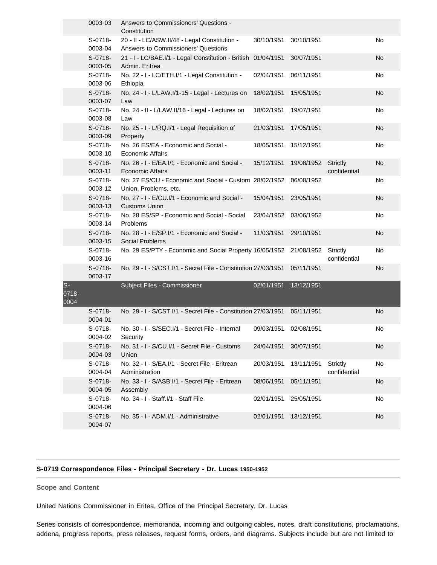|                       | 0003-03              | Answers to Commissioners' Questions -<br>Constitution                                |            |            |                                 |           |
|-----------------------|----------------------|--------------------------------------------------------------------------------------|------------|------------|---------------------------------|-----------|
|                       | S-0718-<br>0003-04   | 20 - II - LC/ASW.II/48 - Legal Constitution -<br>Answers to Commissioners' Questions | 30/10/1951 | 30/10/1951 |                                 | No        |
|                       | S-0718-<br>0003-05   | 21 - I - LC/BAE.I/1 - Legal Constitution - British 01/04/1951<br>Admin. Eritrea      |            | 30/07/1951 |                                 | No        |
|                       | S-0718-<br>0003-06   | No. 22 - I - LC/ETH.I/1 - Legal Constitution -<br>Ethiopia                           | 02/04/1951 | 06/11/1951 |                                 | No        |
|                       | $S-0718-$<br>0003-07 | No. 24 - I - L/LAW.I/1-15 - Legal - Lectures on<br>Law                               | 18/02/1951 | 15/05/1951 |                                 | <b>No</b> |
|                       | $S-0718-$<br>0003-08 | No. 24 - II - L/LAW.II/16 - Legal - Lectures on<br>Law                               | 18/02/1951 | 19/07/1951 |                                 | No        |
|                       | S-0718-<br>0003-09   | No. 25 - I - L/RQ.I/1 - Legal Requisition of<br>Property                             | 21/03/1951 | 17/05/1951 |                                 | No        |
|                       | S-0718-<br>0003-10   | No. 26 ES/EA - Economic and Social -<br>Economic Affairs                             | 18/05/1951 | 15/12/1951 |                                 | No        |
|                       | $S-0718-$<br>0003-11 | No. 26 - I - E/EA.I/1 - Economic and Social -<br><b>Economic Affairs</b>             | 15/12/1951 | 19/08/1952 | Strictly<br>confidential        | No        |
|                       | S-0718-<br>0003-12   | No. 27 ES/CU - Economic and Social - Custom 28/02/1952<br>Union, Problems, etc.      |            | 06/08/1952 |                                 | No        |
|                       | S-0718-<br>0003-13   | No. 27 - I - E/CU.I/1 - Economic and Social -<br><b>Customs Union</b>                | 15/04/1951 | 23/05/1951 |                                 | No        |
|                       | $S-0718-$<br>0003-14 | No. 28 ES/SP - Economic and Social - Social<br>Problems                              | 23/04/1952 | 03/06/1952 |                                 | No        |
|                       | S-0718-<br>0003-15   | No. 28 - I - E/SP.I/1 - Economic and Social -<br>Social Problems                     | 11/03/1951 | 29/10/1951 |                                 | No        |
|                       | S-0718-<br>0003-16   | No. 29 ES/PTY - Economic and Social Property 16/05/1952                              |            | 21/08/1952 | <b>Strictly</b><br>confidential | No        |
|                       | S-0718-<br>0003-17   | No. 29 - I - S/CST.I/1 - Secret File - Constitution 27/03/1951                       |            | 05/11/1951 |                                 | No        |
| $S-$<br>0718-<br>0004 |                      | Subject Files - Commissioner                                                         | 02/01/1951 | 13/12/1951 |                                 |           |
|                       | $S-0718-$<br>0004-01 | No. 29 - I - S/CST.I/1 - Secret File - Constitution 27/03/1951                       |            | 05/11/1951 |                                 | No        |
|                       | S-0718-<br>0004-02   | No. 30 - I - S/SEC.I/1 - Secret File - Internal<br>Security                          | 09/03/1951 | 02/08/1951 |                                 | No        |
|                       | $S-0718-$<br>0004-03 | No. 31 - I - S/CU.I/1 - Secret File - Customs<br>Union                               | 24/04/1951 | 30/07/1951 |                                 | No        |
|                       | S-0718-<br>0004-04   | No. 32 - I - S/EA.I/1 - Secret File - Eritrean<br>Administration                     | 20/03/1951 | 13/11/1951 | Strictly<br>confidential        | No        |
|                       | $S-0718-$<br>0004-05 | No. 33 - I - S/ASB.I/1 - Secret File - Eritrean<br>Assembly                          | 08/06/1951 | 05/11/1951 |                                 | No        |
|                       | $S-0718-$<br>0004-06 | No. 34 - I - Staff. I/1 - Staff File                                                 | 02/01/1951 | 25/05/1951 |                                 | No        |
|                       | $S-0718-$<br>0004-07 | No. 35 - I - ADM.I/1 - Administrative                                                | 02/01/1951 | 13/12/1951 |                                 | No        |

## **S-0719 Correspondence Files - Principal Secretary - Dr. Lucas 1950-1952**

**Scope and Content** 

United Nations Commissioner in Eritea, Office of the Principal Secretary, Dr. Lucas

Series consists of correspondence, memoranda, incoming and outgoing cables, notes, draft constitutions, proclamations, addena, progress reports, press releases, request forms, orders, and diagrams. Subjects include but are not limited to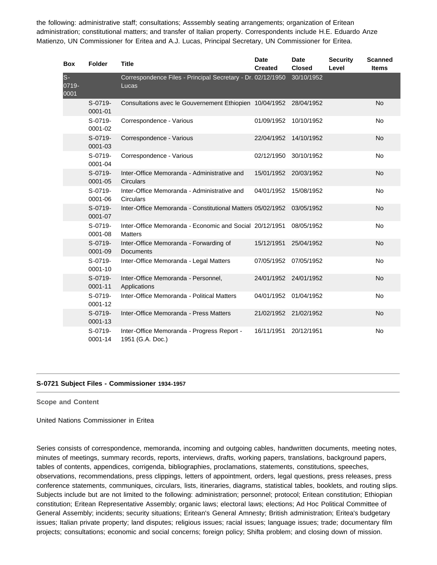the following: administrative staff; consultations; Asssembly seating arrangements; organization of Eritean administration; constitutional matters; and transfer of Italian property. Correspondents include H.E. Eduardo Anze Matienzo, UN Commissioner for Eritea and A.J. Lucas, Principal Secretary, UN Commissioner for Eritea.

| <b>Box</b>             | <b>Folder</b>          | <b>Title</b>                                                              | <b>Date</b><br><b>Created</b> | <b>Date</b><br><b>Closed</b> | <b>Security</b><br>Level | <b>Scanned</b><br><b>Items</b> |
|------------------------|------------------------|---------------------------------------------------------------------------|-------------------------------|------------------------------|--------------------------|--------------------------------|
| $S -$<br>0719-<br>0001 |                        | Correspondence Files - Principal Secretary - Dr. 02/12/1950<br>Lucas      |                               | 30/10/1952                   |                          |                                |
|                        | S-0719-<br>0001-01     | Consultations avec le Gouvernement Ethiopien 10/04/1952                   |                               | 28/04/1952                   |                          | <b>No</b>                      |
|                        | S-0719-<br>$0001 - 02$ | Correspondence - Various                                                  | 01/09/1952                    | 10/10/1952                   |                          | <b>No</b>                      |
|                        | S-0719-<br>0001-03     | Correspondence - Various                                                  | 22/04/1952                    | 14/10/1952                   |                          | <b>No</b>                      |
|                        | S-0719-<br>0001-04     | Correspondence - Various                                                  | 02/12/1950                    | 30/10/1952                   |                          | <b>No</b>                      |
|                        | S-0719-<br>$0001 - 05$ | Inter-Office Memoranda - Administrative and<br>Circulars                  | 15/01/1952                    | 20/03/1952                   |                          | <b>No</b>                      |
|                        | S-0719-<br>0001-06     | Inter-Office Memoranda - Administrative and<br>Circulars                  | 04/01/1952                    | 15/08/1952                   |                          | <b>No</b>                      |
|                        | S-0719-<br>0001-07     | Inter-Office Memoranda - Constitutional Matters 05/02/1952                |                               | 03/05/1952                   |                          | <b>No</b>                      |
|                        | S-0719-<br>0001-08     | Inter-Office Memoranda - Economic and Social 20/12/1951<br><b>Matters</b> |                               | 08/05/1952                   |                          | No                             |
|                        | S-0719-<br>0001-09     | Inter-Office Memoranda - Forwarding of<br><b>Documents</b>                | 15/12/1951                    | 25/04/1952                   |                          | <b>No</b>                      |
|                        | S-0719-<br>0001-10     | Inter-Office Memoranda - Legal Matters                                    | 07/05/1952                    | 07/05/1952                   |                          | <b>No</b>                      |
|                        | S-0719-<br>0001-11     | Inter-Office Memoranda - Personnel,<br>Applications                       | 24/01/1952                    | 24/01/1952                   |                          | <b>No</b>                      |
|                        | S-0719-<br>0001-12     | Inter-Office Memoranda - Political Matters                                | 04/01/1952                    | 01/04/1952                   |                          | No                             |
|                        | S-0719-<br>0001-13     | Inter-Office Memoranda - Press Matters                                    | 21/02/1952                    | 21/02/1952                   |                          | <b>No</b>                      |
|                        | S-0719-<br>0001-14     | Inter-Office Memoranda - Progress Report -<br>1951 (G.A. Doc.)            | 16/11/1951                    | 20/12/1951                   |                          | <b>No</b>                      |

#### **S-0721 Subject Files - Commissioner 1934-1957**

**Scope and Content** 

United Nations Commissioner in Eritea

Series consists of correspondence, memoranda, incoming and outgoing cables, handwritten documents, meeting notes, minutes of meetings, summary records, reports, interviews, drafts, working papers, translations, background papers, tables of contents, appendices, corrigenda, bibliographies, proclamations, statements, constitutions, speeches, observations, recommendations, press clippings, letters of appointment, orders, legal questions, press releases, press conference statements, communiques, circulars, lists, itineraries, diagrams, statistical tables, booklets, and routing slips. Subjects include but are not limited to the following: administration; personnel; protocol; Eritean constitution; Ethiopian constitution; Eritean Representative Assembly; organic laws; electoral laws; elections; Ad Hoc Political Committee of General Assembly; incidents; security situations; Eritean's General Amnesty; British administration; Eritea's budgetary issues; Italian private property; land disputes; religious issues; racial issues; language issues; trade; documentary film projects; consultations; economic and social concerns; foreign policy; Shifta problem; and closing down of mission.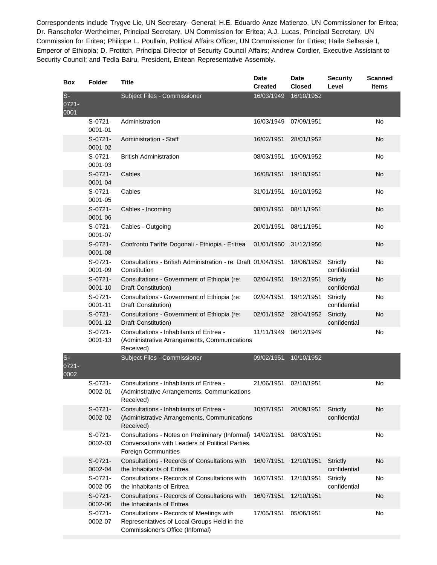Correspondents include Trygve Lie, UN Secretary- General; H.E. Eduardo Anze Matienzo, UN Commissioner for Eritea; Dr. Ranschofer-Wertheimer, Principal Secretary, UN Commission for Eritea; A.J. Lucas, Principal Secretary, UN Commission for Eritea; Philippe L. Poullain, Political Affairs Officer, UN Commissioner for Ertiea; Haile Sellassie I, Emperor of Ethiopia; D. Protitch, Principal Director of Security Council Affairs; Andrew Cordier, Executive Assistant to Security Council; and Tedla Bairu, President, Eritean Representative Assembly.

| <b>Box</b>               | <b>Folder</b>            | <b>Title</b>                                                                                                                                 | <b>Date</b><br><b>Created</b> | <b>Date</b><br><b>Closed</b> | <b>Security</b><br>Level | <b>Scanned</b><br><b>Items</b> |
|--------------------------|--------------------------|----------------------------------------------------------------------------------------------------------------------------------------------|-------------------------------|------------------------------|--------------------------|--------------------------------|
| $S-$<br>0721-<br>0001    |                          | Subject Files - Commissioner                                                                                                                 | 16/03/1949                    | 16/10/1952                   |                          |                                |
|                          | $S-0721-$<br>0001-01     | Administration                                                                                                                               | 16/03/1949                    | 07/09/1951                   |                          | <b>No</b>                      |
|                          | $S-0721-$<br>0001-02     | <b>Administration - Staff</b>                                                                                                                | 16/02/1951                    | 28/01/1952                   |                          | <b>No</b>                      |
|                          | $S-0721-$<br>0001-03     | <b>British Administration</b>                                                                                                                | 08/03/1951                    | 15/09/1952                   |                          | No                             |
|                          | $S-0721-$<br>0001-04     | Cables                                                                                                                                       | 16/08/1951                    | 19/10/1951                   |                          | <b>No</b>                      |
|                          | $S-0721-$<br>0001-05     | Cables                                                                                                                                       | 31/01/1951                    | 16/10/1952                   |                          | No                             |
|                          | S-0721-<br>0001-06       | Cables - Incoming                                                                                                                            | 08/01/1951                    | 08/11/1951                   |                          | <b>No</b>                      |
|                          | S-0721-<br>0001-07       | Cables - Outgoing                                                                                                                            | 20/01/1951                    | 08/11/1951                   |                          | No                             |
|                          | $S-0721-$<br>0001-08     | Confronto Tariffe Dogonali - Ethiopia - Eritrea                                                                                              | 01/01/1950                    | 31/12/1950                   |                          | <b>No</b>                      |
|                          | S-0721-<br>0001-09       | Consultations - British Administration - re: Draft 01/04/1951<br>Constitution                                                                |                               | 18/06/1952                   | Strictly<br>confidential | No                             |
|                          | $S-0721-$<br>$0001 - 10$ | Consultations - Government of Ethiopia (re:<br>Draft Constitution)                                                                           | 02/04/1951                    | 19/12/1951                   | Strictly<br>confidential | <b>No</b>                      |
|                          | $S-0721-$<br>0001-11     | Consultations - Government of Ethiopia (re:<br>Draft Constitution)                                                                           | 02/04/1951                    | 19/12/1951                   | Strictly<br>confidential | No                             |
|                          | $S-0721-$<br>0001-12     | Consultations - Government of Ethiopia (re:<br>Draft Constitution)                                                                           | 02/01/1952                    | 28/04/1952                   | Strictly<br>confidential | No                             |
|                          | $S-0721-$<br>0001-13     | Consultations - Inhabitants of Eritrea -<br>(Administrative Arrangements, Communications<br>Received)                                        | 11/11/1949                    | 06/12/1949                   |                          | No                             |
| $S-$<br>$0721 -$<br>0002 |                          | Subject Files - Commissioner                                                                                                                 | 09/02/1951                    | 10/10/1952                   |                          |                                |
|                          | $S-0721-$<br>0002-01     | Consultations - Inhabitants of Eritrea -<br>(Adminstrative Arrangements, Communications<br>Received)                                         | 21/06/1951                    | 02/10/1951                   |                          | No                             |
|                          | $S-0721-$<br>0002-02     | Consultations - Inhabitants of Eritrea -<br>(Administrative Arrangements, Communications<br>Received)                                        | 10/07/1951                    | 20/09/1951                   | Strictly<br>confidential | No                             |
|                          | $S-0721-$<br>0002-03     | Consultations - Notes on Preliminary (Informal) 14/02/1951<br>Conversations with Leaders of Political Parties,<br><b>Foreign Communities</b> |                               | 08/03/1951                   |                          | No                             |
|                          | S-0721-<br>0002-04       | Consultations - Records of Consultations with<br>the Inhabitants of Eritrea                                                                  | 16/07/1951                    | 12/10/1951                   | Strictly<br>confidential | No                             |
|                          | $S-0721-$<br>0002-05     | Consultations - Records of Consultations with<br>the Inhabitants of Eritrea                                                                  | 16/07/1951                    | 12/10/1951                   | Strictly<br>confidential | No                             |
|                          | $S-0721-$<br>0002-06     | Consultations - Records of Consultations with<br>the Inhabitants of Eritrea                                                                  | 16/07/1951                    | 12/10/1951                   |                          | No                             |
|                          | S-0721-<br>0002-07       | Consultations - Records of Meetings with<br>Representatives of Local Groups Held in the<br>Commissioner's Office (Informal)                  | 17/05/1951                    | 05/06/1951                   |                          | No                             |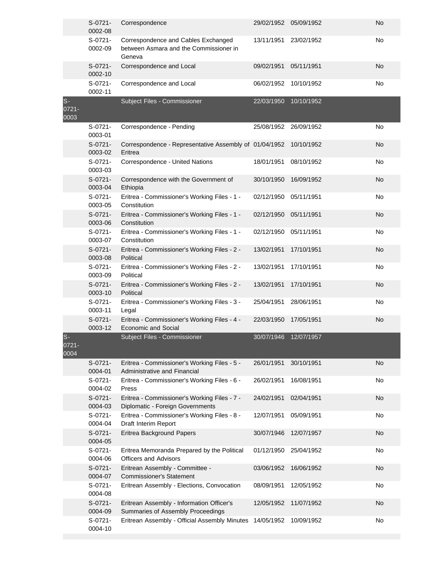|                        | $S-0721-$<br>0002-08 | Correspondence                                                                          | 29/02/1952 05/09/1952 |            | <b>No</b> |
|------------------------|----------------------|-----------------------------------------------------------------------------------------|-----------------------|------------|-----------|
|                        | $S-0721-$<br>0002-09 | Correspondence and Cables Exchanged<br>between Asmara and the Commissioner in<br>Geneva | 13/11/1951            | 23/02/1952 | No        |
|                        | $S-0721-$<br>0002-10 | Correspondence and Local                                                                | 09/02/1951            | 05/11/1951 | <b>No</b> |
|                        | $S-0721-$<br>0002-11 | Correspondence and Local                                                                | 06/02/1952            | 10/10/1952 | No        |
| $S -$<br>0721-<br>0003 |                      | Subject Files - Commissioner                                                            | 22/03/1950            | 10/10/1952 |           |
|                        | $S-0721-$<br>0003-01 | Correspondence - Pending                                                                | 25/08/1952            | 26/09/1952 | <b>No</b> |
|                        | $S-0721-$<br>0003-02 | Correspondence - Representative Assembly of 01/04/1952<br>Eritrea                       |                       | 10/10/1952 | No        |
|                        | $S-0721-$<br>0003-03 | Correspondence - United Nations                                                         | 18/01/1951            | 08/10/1952 | No        |
|                        | $S-0721-$<br>0003-04 | Correspondence with the Government of<br>Ethiopia                                       | 30/10/1950            | 16/09/1952 | <b>No</b> |
|                        | $S-0721-$<br>0003-05 | Eritrea - Commissioner's Working Files - 1 -<br>Constitution                            | 02/12/1950            | 05/11/1951 | No        |
|                        | $S-0721-$<br>0003-06 | Eritrea - Commissioner's Working Files - 1 -<br>Constitution                            | 02/12/1950            | 05/11/1951 | <b>No</b> |
|                        | $S-0721-$<br>0003-07 | Eritrea - Commissioner's Working Files - 1 -<br>Constitution                            | 02/12/1950            | 05/11/1951 | No        |
|                        | $S-0721-$<br>0003-08 | Eritrea - Commissioner's Working Files - 2 -<br>Political                               | 13/02/1951            | 17/10/1951 | No        |
|                        | $S-0721-$<br>0003-09 | Eritrea - Commissioner's Working Files - 2 -<br>Political                               | 13/02/1951            | 17/10/1951 | <b>No</b> |
|                        | $S-0721-$<br>0003-10 | Eritrea - Commissioner's Working Files - 2 -<br>Political                               | 13/02/1951            | 17/10/1951 | <b>No</b> |
|                        | $S-0721-$<br>0003-11 | Eritrea - Commissioner's Working Files - 3 -<br>Legal                                   | 25/04/1951            | 28/06/1951 | No        |
|                        | S-0721-<br>0003-12   | Eritrea - Commissioner's Working Files - 4 -<br><b>Economic and Social</b>              | 22/03/1950            | 17/05/1951 | <b>No</b> |
| $S-$<br>0721-<br>0004  |                      | Subject Files - Commissioner                                                            | 30/07/1946            | 12/07/1957 |           |
|                        | $S-0721-$<br>0004-01 | Eritrea - Commissioner's Working Files - 5 -<br>Administrative and Financial            | 26/01/1951            | 30/10/1951 | <b>No</b> |
|                        | $S-0721-$<br>0004-02 | Eritrea - Commissioner's Working Files - 6 -<br>Press                                   | 26/02/1951            | 16/08/1951 | No        |
|                        | $S-0721-$<br>0004-03 | Eritrea - Commissioner's Working Files - 7 -<br>Diplomatic - Foreign Governments        | 24/02/1951            | 02/04/1951 | <b>No</b> |
|                        | $S-0721-$<br>0004-04 | Eritrea - Commissioner's Working Files - 8 -<br>Draft Interim Report                    | 12/07/1951            | 05/09/1951 | No        |
|                        | $S-0721-$<br>0004-05 | Eritrea Background Papers                                                               | 30/07/1946            | 12/07/1957 | <b>No</b> |
|                        | $S-0721-$<br>0004-06 | Eritrea Memoranda Prepared by the Political<br><b>Officers and Advisors</b>             | 01/12/1950            | 25/04/1952 | No        |
|                        | $S-0721-$<br>0004-07 | Eritrean Assembly - Committee -<br><b>Commissioner's Statement</b>                      | 03/06/1952            | 16/06/1952 | No        |
|                        | $S-0721-$<br>0004-08 | Eritrean Assembly - Elections, Convocation                                              | 08/09/1951            | 12/05/1952 | No        |
|                        | $S-0721-$<br>0004-09 | Eritrean Assembly - Information Officer's<br>Summaries of Assembly Proceedings          | 12/05/1952            | 11/07/1952 | <b>No</b> |
|                        | $S-0721-$<br>0004-10 | Eritrean Assembly - Official Assembly Minutes 14/05/1952                                |                       | 10/09/1952 | No        |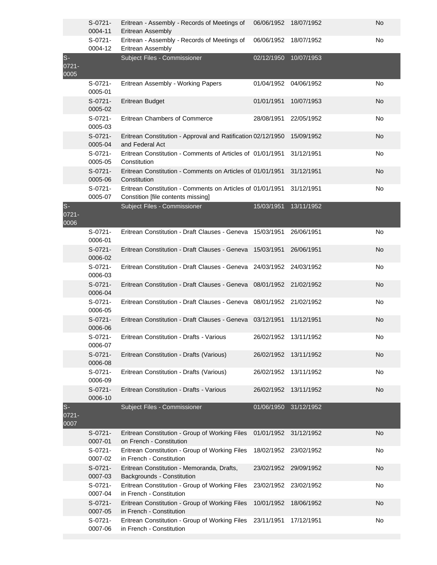|                           | $S-0721-$<br>0004-11 | Eritrean - Assembly - Records of Meetings of<br>Eritrean Assembly                                | 06/06/1952 | 18/07/1952 | No        |
|---------------------------|----------------------|--------------------------------------------------------------------------------------------------|------------|------------|-----------|
|                           | S-0721-<br>0004-12   | Eritrean - Assembly - Records of Meetings of<br>Eritrean Assembly                                | 06/06/1952 | 18/07/1952 | No        |
| $S -$<br>$0721 -$<br>0005 |                      | Subject Files - Commissioner                                                                     | 02/12/1950 | 10/07/1953 |           |
|                           | $S-0721-$<br>0005-01 | Eritrean Assembly - Working Papers                                                               | 01/04/1952 | 04/06/1952 | No        |
|                           | $S-0721-$<br>0005-02 | Eritrean Budget                                                                                  | 01/01/1951 | 10/07/1953 | <b>No</b> |
|                           | $S-0721-$<br>0005-03 | Eritrean Chambers of Commerce                                                                    | 28/08/1951 | 22/05/1952 | No        |
|                           | $S-0721-$<br>0005-04 | Eritrean Constitution - Approval and Ratification 02/12/1950<br>and Federal Act                  |            | 15/09/1952 | No        |
|                           | $S-0721-$<br>0005-05 | Eritrean Constitution - Comments of Articles of 01/01/1951<br>Constitution                       |            | 31/12/1951 | No        |
|                           | S-0721-<br>0005-06   | Eritrean Constitution - Comments on Articles of 01/01/1951<br>Constitution                       |            | 31/12/1951 | No        |
|                           | $S-0721-$<br>0005-07 | Eritrean Constitution - Comments on Articles of 01/01/1951<br>Constition [file contents missing] |            | 31/12/1951 | No        |
| $S-$<br>0721-<br>0006     |                      | Subject Files - Commissioner                                                                     | 15/03/1951 | 13/11/1952 |           |
|                           | $S-0721-$<br>0006-01 | Eritrean Constitution - Draft Clauses - Geneva 15/03/1951                                        |            | 26/06/1951 | No        |
|                           | S-0721-<br>0006-02   | Eritrean Constitution - Draft Clauses - Geneva 15/03/1951                                        |            | 26/06/1951 | <b>No</b> |
|                           | $S-0721-$<br>0006-03 | Eritrean Constitution - Draft Clauses - Geneva 24/03/1952                                        |            | 24/03/1952 | No        |
|                           | S-0721-<br>0006-04   | Eritrean Constitution - Draft Clauses - Geneva                                                   | 08/01/1952 | 21/02/1952 | No        |
|                           | S-0721-<br>0006-05   | Eritrean Constitution - Draft Clauses - Geneva                                                   | 08/01/1952 | 21/02/1952 | No        |
|                           | $S-0721-$<br>0006-06 | Eritrean Constitution - Draft Clauses - Geneva 03/12/1951                                        |            | 11/12/1951 | <b>No</b> |
|                           | $S-0721-$<br>0006-07 | Eritrean Constitution - Drafts - Various                                                         | 26/02/1952 | 13/11/1952 | No        |
|                           | $S-0721-$<br>0006-08 | Eritrean Constitution - Drafts (Various)                                                         | 26/02/1952 | 13/11/1952 | No        |
|                           | $S-0721-$<br>0006-09 | Eritrean Constitution - Drafts (Various)                                                         | 26/02/1952 | 13/11/1952 | No        |
|                           | S-0721-<br>0006-10   | Eritrean Constitution - Drafts - Various                                                         | 26/02/1952 | 13/11/1952 | No        |
| $S-$<br>0721-<br>0007     |                      | Subject Files - Commissioner                                                                     | 01/06/1950 | 31/12/1952 |           |
|                           | $S-0721-$<br>0007-01 | Eritrean Constitution - Group of Working Files<br>on French - Constitution                       | 01/01/1952 | 31/12/1952 | No        |
|                           | S-0721-<br>0007-02   | Eritrean Constitution - Group of Working Files<br>in French - Constitution                       | 18/02/1952 | 23/02/1952 | No        |
|                           | S-0721-<br>0007-03   | Eritrean Constitution - Memoranda, Drafts,<br>Backgrounds - Constitution                         | 23/02/1952 | 29/09/1952 | No        |
|                           | S-0721-<br>0007-04   | Eritrean Constitution - Group of Working Files<br>in French - Constitution                       | 23/02/1952 | 23/02/1952 | No        |
|                           | $S-0721-$<br>0007-05 | Eritrean Constitution - Group of Working Files<br>in French - Constitution                       | 10/01/1952 | 18/06/1952 | No        |
|                           | S-0721-<br>0007-06   | Eritrean Constitution - Group of Working Files<br>in French - Constitution                       | 23/11/1951 | 17/12/1951 | No        |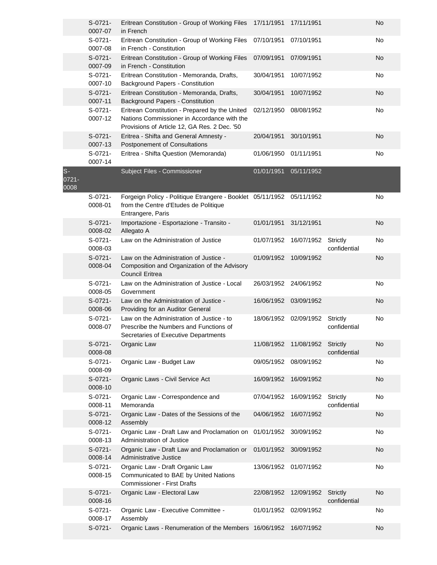|                        | $S-0721-$<br>0007-07 | Eritrean Constitution - Group of Working Files<br>in French                                                                                   | 17/11/1951 | 17/11/1951 |                          | No |
|------------------------|----------------------|-----------------------------------------------------------------------------------------------------------------------------------------------|------------|------------|--------------------------|----|
|                        | S-0721-<br>0007-08   | Eritrean Constitution - Group of Working Files<br>in French - Constitution                                                                    | 07/10/1951 | 07/10/1951 |                          | No |
|                        | $S-0721-$<br>0007-09 | Eritrean Constitution - Group of Working Files<br>in French - Constitution                                                                    | 07/09/1951 | 07/09/1951 |                          | No |
|                        | $S-0721-$<br>0007-10 | Eritrean Constitution - Memoranda, Drafts,<br>Background Papers - Constitution                                                                | 30/04/1951 | 10/07/1952 |                          | No |
|                        | $S-0721-$<br>0007-11 | Eritrean Constitution - Memoranda, Drafts,<br>Background Papers - Constitution                                                                | 30/04/1951 | 10/07/1952 |                          | No |
|                        | $S-0721-$<br>0007-12 | Eritrean Constitution - Prepared by the United<br>Nations Commissioner in Accordance with the<br>Provisions of Article 12, GA Res. 2 Dec. '50 | 02/12/1950 | 08/08/1952 |                          | No |
|                        | $S-0721-$<br>0007-13 | Eritrea - Shifta and General Amnesty -<br>Postponement of Consultations                                                                       | 20/04/1951 | 30/10/1951 |                          | No |
|                        | S-0721-<br>0007-14   | Eritrea - Shifta Question (Memoranda)                                                                                                         | 01/06/1950 | 01/11/1951 |                          | No |
| $S -$<br>0721-<br>0008 |                      | Subject Files - Commissioner                                                                                                                  | 01/01/1951 | 05/11/1952 |                          |    |
|                        | $S-0721-$<br>0008-01 | Forgeign Policy - Politique Etrangere - Booklet 05/11/1952 05/11/1952<br>from the Centre d'Etudes de Politique<br>Entrangere, Paris           |            |            |                          | No |
|                        | S-0721-<br>0008-02   | Importazione - Esportazione - Transito -<br>Allegato A                                                                                        | 01/01/1951 | 31/12/1951 |                          | No |
|                        | S-0721-<br>0008-03   | Law on the Administration of Justice                                                                                                          | 01/07/1952 | 16/07/1952 | Strictly<br>confidential | No |
|                        | $S-0721-$<br>0008-04 | Law on the Administration of Justice -<br>Composition and Organization of the Advisory<br><b>Council Eritrea</b>                              | 01/09/1952 | 10/09/1952 |                          | No |
|                        | S-0721-<br>0008-05   | Law on the Administration of Justice - Local<br>Government                                                                                    | 26/03/1952 | 24/06/1952 |                          | No |
|                        | $S-0721-$<br>0008-06 | Law on the Administration of Justice -<br>Providing for an Auditor General                                                                    | 16/06/1952 | 03/09/1952 |                          | No |
|                        | S-0721-<br>0008-07   | Law on the Administration of Justice - to<br>Prescribe the Numbers and Functions of<br>Secretaries of Executive Departments                   | 18/06/1952 | 02/09/1952 | Strictly<br>confidential | No |
|                        | S-0721-<br>0008-08   | Organic Law                                                                                                                                   | 11/08/1952 | 11/08/1952 | Strictly<br>confidential | No |
|                        | $S-0721-$<br>0008-09 | Organic Law - Budget Law                                                                                                                      | 09/05/1952 | 08/09/1952 |                          | No |
|                        | $S-0721-$<br>0008-10 | Organic Laws - Civil Service Act                                                                                                              | 16/09/1952 | 16/09/1952 |                          | No |
|                        | $S-0721-$<br>0008-11 | Organic Law - Correspondence and<br>Memoranda                                                                                                 | 07/04/1952 | 16/09/1952 | Strictly<br>confidential | No |
|                        | S-0721-<br>0008-12   | Organic Law - Dates of the Sessions of the<br>Assembly                                                                                        | 04/06/1952 | 16/07/1952 |                          | No |
|                        | S-0721-<br>0008-13   | Organic Law - Draft Law and Proclamation on<br>Administration of Justice                                                                      | 01/01/1952 | 30/09/1952 |                          | No |
|                        | $S-0721-$<br>0008-14 | Organic Law - Draft Law and Proclamation or<br>Administrative Justice                                                                         | 01/01/1952 | 30/09/1952 |                          | No |
|                        | S-0721-<br>0008-15   | Organic Law - Draft Organic Law<br>Communicated to BAE by United Nations<br><b>Commissioner - First Drafts</b>                                | 13/06/1952 | 01/07/1952 |                          | No |
|                        | S-0721-<br>0008-16   | Organic Law - Electoral Law                                                                                                                   | 22/08/1952 | 12/09/1952 | Strictly<br>confidential | No |
|                        | S-0721-<br>0008-17   | Organic Law - Executive Committee -<br>Assembly                                                                                               | 01/01/1952 | 02/09/1952 |                          | No |
|                        | $S-0721-$            | Organic Laws - Renumeration of the Members 16/06/1952                                                                                         |            | 16/07/1952 |                          | No |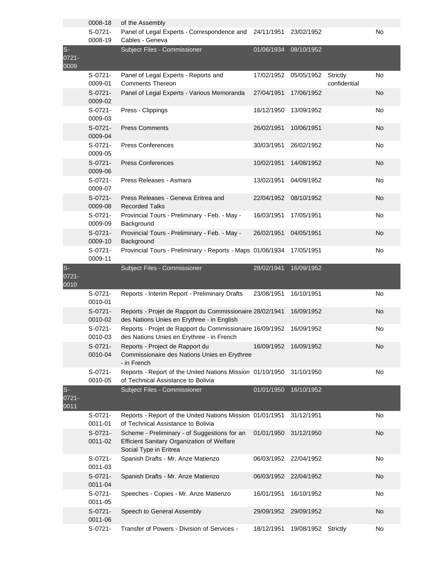|                        | 0008-18              | of the Assembly                                                                                                             |            |            |                          |    |
|------------------------|----------------------|-----------------------------------------------------------------------------------------------------------------------------|------------|------------|--------------------------|----|
|                        | S-0721-<br>0008-19   | Panel of Legal Experts - Correspondence and 24/11/1951<br>Cables - Geneva                                                   |            | 23/02/1952 |                          | No |
| $S -$<br>0721-<br>0009 |                      | Subject Files - Commissioner                                                                                                | 01/06/1934 | 08/10/1952 |                          |    |
|                        | $S-0721-$<br>0009-01 | Panel of Legal Experts - Reports and<br><b>Comments Thereon</b>                                                             | 17/02/1952 | 05/05/1952 | Strictly<br>confidential | No |
|                        | $S-0721-$<br>0009-02 | Panel of Legal Experts - Various Memoranda                                                                                  | 27/04/1951 | 17/06/1952 |                          | No |
|                        | $S-0721-$<br>0009-03 | Press - Clippings                                                                                                           | 16/12/1950 | 13/09/1952 |                          | No |
|                        | $S-0721-$<br>0009-04 | <b>Press Comments</b>                                                                                                       | 26/02/1951 | 10/06/1951 |                          | No |
|                        | $S-0721-$<br>0009-05 | <b>Press Conferences</b>                                                                                                    | 30/03/1951 | 26/02/1952 |                          | No |
|                        | $S-0721-$<br>0009-06 | <b>Press Conferences</b>                                                                                                    | 10/02/1951 | 14/08/1952 |                          | No |
|                        | $S-0721-$<br>0009-07 | Press Releases - Asmara                                                                                                     | 13/02/1951 | 04/09/1952 |                          | No |
|                        | $S-0721-$<br>0009-08 | Press Releases - Geneva Eritrea and<br><b>Recorded Talks</b>                                                                | 22/04/1952 | 08/10/1952 |                          | No |
|                        | $S-0721-$<br>0009-09 | Provincial Tours - Preliminary - Feb. - May -<br>Background                                                                 | 16/03/1951 | 17/05/1951 |                          | No |
|                        | $S-0721-$<br>0009-10 | Provincial Tours - Preliminary - Feb. - May -<br>Background                                                                 | 26/02/1951 | 04/05/1951 |                          | No |
|                        | S-0721-<br>0009-11   | Provincial Tours - Preliminary - Reports - Maps 01/06/1934                                                                  |            | 17/05/1951 |                          | No |
| $S-$<br>0721-<br>0010  |                      | Subject Files - Commissioner                                                                                                | 28/02/1941 | 16/09/1952 |                          |    |
|                        | $S-0721-$<br>0010-01 | Reports - Interim Report - Preliminary Drafts                                                                               | 23/08/1951 | 16/10/1951 |                          | No |
|                        | $S-0721-$<br>0010-02 | Reports - Projet de Rapport du Commissionaire 28/02/1941<br>des Nations Unies en Erythree - in English                      |            | 16/09/1952 |                          | No |
|                        | S-0721-<br>0010-03   | Reports - Projet de Rapport du Commissionaire 16/09/1952<br>des Nations Unies en Erythree - in French                       |            | 16/09/1952 |                          | No |
|                        | S-0721-<br>0010-04   | Reports - Project de Rapport du<br>Commissionaire des Nations Unies en Erythree<br>- in French                              | 16/09/1952 | 16/09/1952 |                          | No |
|                        | S-0721-<br>0010-05   | Reports - Report of the United Nations Mission 01/10/1950<br>of Technical Assistance to Bolivia                             |            | 31/10/1950 |                          | No |
| $S-$<br>0721-<br>0011  |                      | Subject Files - Commissioner                                                                                                | 01/01/1950 | 16/10/1952 |                          |    |
|                        | $S-0721-$<br>0011-01 | Reports - Report of the United Nations Mission 01/01/1951<br>of Technical Assistance to Bolivia                             |            | 31/12/1951 |                          | No |
|                        | $S-0721-$<br>0011-02 | Scheme - Preliminary - of Suggestions for an<br><b>Efficient Sanitary Organization of Welfare</b><br>Social Type in Eritrea | 01/01/1950 | 31/12/1950 |                          | No |
|                        | S-0721-<br>0011-03   | Spanish Drafts - Mr. Anze Matienzo                                                                                          | 06/03/1952 | 22/04/1952 |                          | No |
|                        | $S-0721-$<br>0011-04 | Spanish Drafts - Mr. Anze Matienzo                                                                                          | 06/03/1952 | 22/04/1952 |                          | No |
|                        | $S-0721-$<br>0011-05 | Speeches - Copies - Mr. Anze Matienzo                                                                                       | 16/01/1951 | 16/10/1952 |                          | No |
|                        | $S-0721-$<br>0011-06 | Speech to General Assembly                                                                                                  | 29/09/1952 | 29/09/1952 |                          | No |
|                        | $S-0721-$            | Transfer of Powers - Division of Services -                                                                                 | 18/12/1951 | 19/08/1952 | Strictly                 | No |